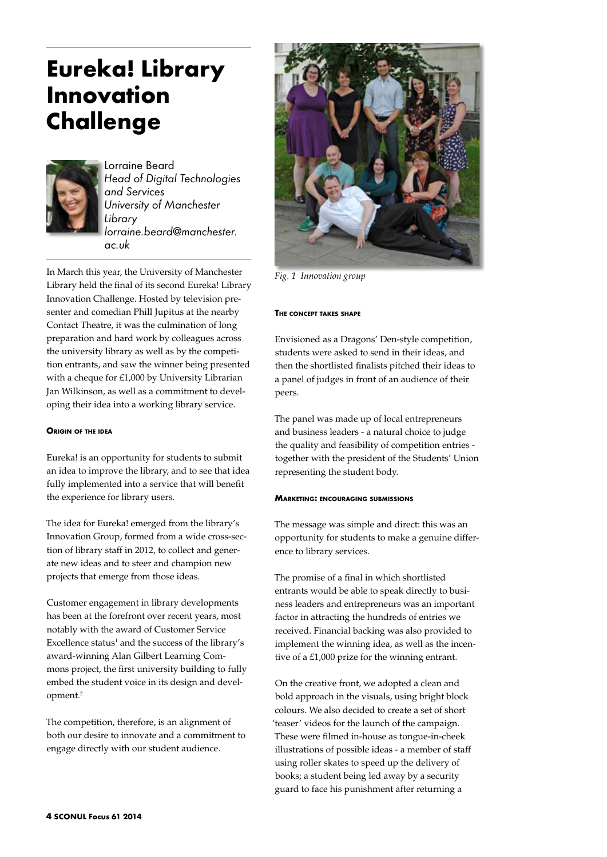# **Eureka! Library Innovation Challenge**



Lorraine Beard *Head of Digital Technologies and Services University of Manchester Library lorraine.beard@manchester. ac.uk*

In March this year, the University of Manchester Library held the final of its second Eureka! Library Innovation Challenge. Hosted by television presenter and comedian Phill Jupitus at the nearby Contact Theatre, it was the culmination of long preparation and hard work by colleagues across the university library as well as by the competition entrants, and saw the winner being presented with a cheque for £1,000 by University Librarian Jan Wilkinson, as well as a commitment to developing their idea into a working library service.

## **Origin of the idea**

Eureka! is an opportunity for students to submit an idea to improve the library, and to see that idea fully implemented into a service that will benefit the experience for library users.

The idea for Eureka! emerged from the library's Innovation Group, formed from a wide cross-section of library staff in 2012, to collect and generate new ideas and to steer and champion new projects that emerge from those ideas.

Customer engagement in library developments has been at the forefront over recent years, most notably with the award of Customer Service Excellence status<sup>1</sup> and the success of the library's award-winning Alan Gilbert Learning Commons project, the first university building to fully embed the student voice in its design and development.2

The competition, therefore, is an alignment of both our desire to innovate and a commitment to engage directly with our student audience.



*Fig. 1 Innovation group*

#### **The concept takes shape**

Envisioned as a Dragons' Den-style competition, students were asked to send in their ideas, and then the shortlisted finalists pitched their ideas to a panel of judges in front of an audience of their peers.

The panel was made up of local entrepreneurs and business leaders - a natural choice to judge the quality and feasibility of competition entries together with the president of the Students' Union representing the student body.

## **Marketing: encouraging submissions**

The message was simple and direct: this was an opportunity for students to make a genuine difference to library services.

The promise of a final in which shortlisted entrants would be able to speak directly to business leaders and entrepreneurs was an important factor in attracting the hundreds of entries we received. Financial backing was also provided to implement the winning idea, as well as the incentive of a £1,000 prize for the winning entrant.

On the creative front, we adopted a clean and bold approach in the visuals, using bright block colours. We also decided to create a set of short 'teaser' videos for the launch of the campaign. These were filmed in-house as tongue-in-cheek illustrations of possible ideas - a member of staff using roller skates to speed up the delivery of books; a student being led away by a security guard to face his punishment after returning a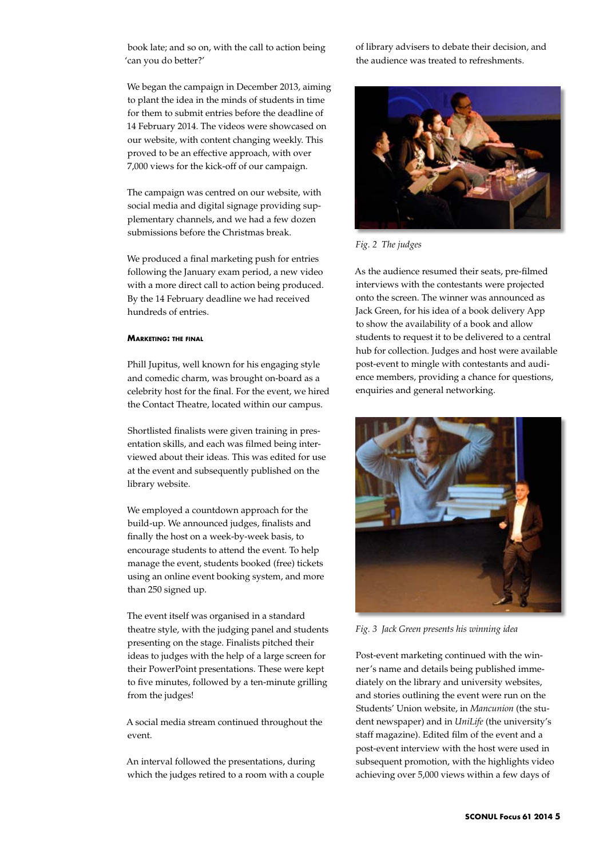book late; and so on, with the call to action being 'can you do better?'

We began the campaign in December 2013, aiming to plant the idea in the minds of students in time for them to submit entries before the deadline of 14 February 2014. The videos were showcased on our website, with content changing weekly. This proved to be an effective approach, with over 7,000 views for the kick-off of our campaign.

The campaign was centred on our website, with social media and digital signage providing supplementary channels, and we had a few dozen submissions before the Christmas break.

We produced a final marketing push for entries following the January exam period, a new video with a more direct call to action being produced. By the 14 February deadline we had received hundreds of entries.

## **Marketing: the final**

Phill Jupitus, well known for his engaging style and comedic charm, was brought on-board as a celebrity host for the final. For the event, we hired the Contact Theatre, located within our campus.

Shortlisted finalists were given training in presentation skills, and each was filmed being interviewed about their ideas. This was edited for use at the event and subsequently published on the library website.

We employed a countdown approach for the build-up. We announced judges, finalists and finally the host on a week-by-week basis, to encourage students to attend the event. To help manage the event, students booked (free) tickets using an online event booking system, and more than 250 signed up.

The event itself was organised in a standard theatre style, with the judging panel and students presenting on the stage. Finalists pitched their ideas to judges with the help of a large screen for their PowerPoint presentations. These were kept to five minutes, followed by a ten-minute grilling from the judges!

A social media stream continued throughout the event.

An interval followed the presentations, during which the judges retired to a room with a couple of library advisers to debate their decision, and the audience was treated to refreshments.



*Fig. 2 The judges*

As the audience resumed their seats, pre-filmed interviews with the contestants were projected onto the screen. The winner was announced as Jack Green, for his idea of a book delivery App to show the availability of a book and allow students to request it to be delivered to a central hub for collection. Judges and host were available post-event to mingle with contestants and audience members, providing a chance for questions, enquiries and general networking.



*Fig. 3 Jack Green presents his winning idea*

Post-event marketing continued with the winner's name and details being published immediately on the library and university websites, and stories outlining the event were run on the Students' Union website, in *Mancunion* (the student newspaper) and in *UniLife* (the university's staff magazine). Edited film of the event and a post-event interview with the host were used in subsequent promotion, with the highlights video achieving over 5,000 views within a few days of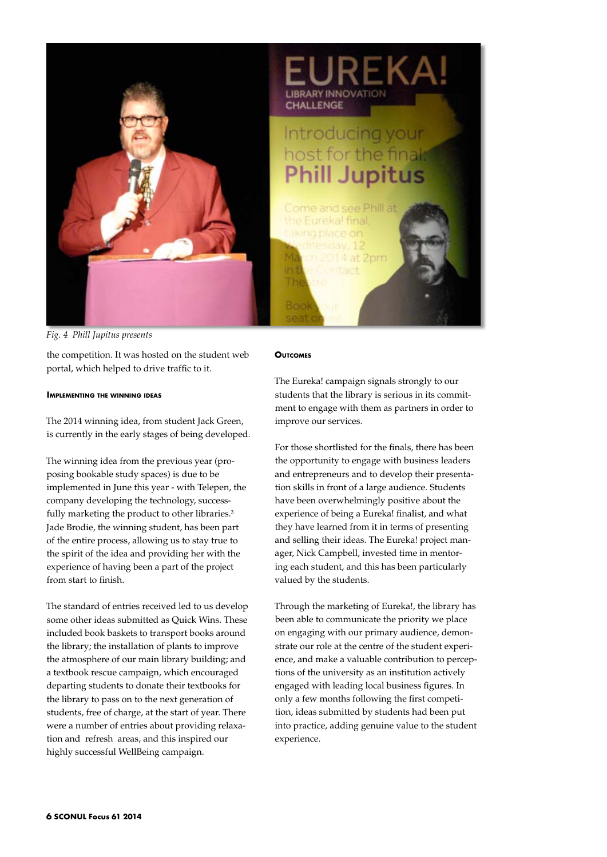

*Fig. 4 Phill Jupitus presents*

the competition. It was hosted on the student web portal, which helped to drive traffic to it.

## **Implementing the winning ideas**

The 2014 winning idea, from student Jack Green, is currently in the early stages of being developed.

The winning idea from the previous year (proposing bookable study spaces) is due to be implemented in June this year - with Telepen, the company developing the technology, successfully marketing the product to other libraries.<sup>3</sup> Jade Brodie, the winning student, has been part of the entire process, allowing us to stay true to the spirit of the idea and providing her with the experience of having been a part of the project from start to finish.

The standard of entries received led to us develop some other ideas submitted as Quick Wins. These included book baskets to transport books around the library; the installation of plants to improve the atmosphere of our main library building; and a textbook rescue campaign, which encouraged departing students to donate their textbooks for the library to pass on to the next generation of students, free of charge, at the start of year. There were a number of entries about providing relaxation and refresh areas, and this inspired our highly successful WellBeing campaign.

#### **Outcomes**

The Eureka! campaign signals strongly to our students that the library is serious in its commitment to engage with them as partners in order to improve our services.

For those shortlisted for the finals, there has been the opportunity to engage with business leaders and entrepreneurs and to develop their presentation skills in front of a large audience. Students have been overwhelmingly positive about the experience of being a Eureka! finalist, and what they have learned from it in terms of presenting and selling their ideas. The Eureka! project manager, Nick Campbell, invested time in mentoring each student, and this has been particularly valued by the students.

Through the marketing of Eureka!, the library has been able to communicate the priority we place on engaging with our primary audience, demonstrate our role at the centre of the student experience, and make a valuable contribution to perceptions of the university as an institution actively engaged with leading local business figures. In only a few months following the first competition, ideas submitted by students had been put into practice, adding genuine value to the student experience.